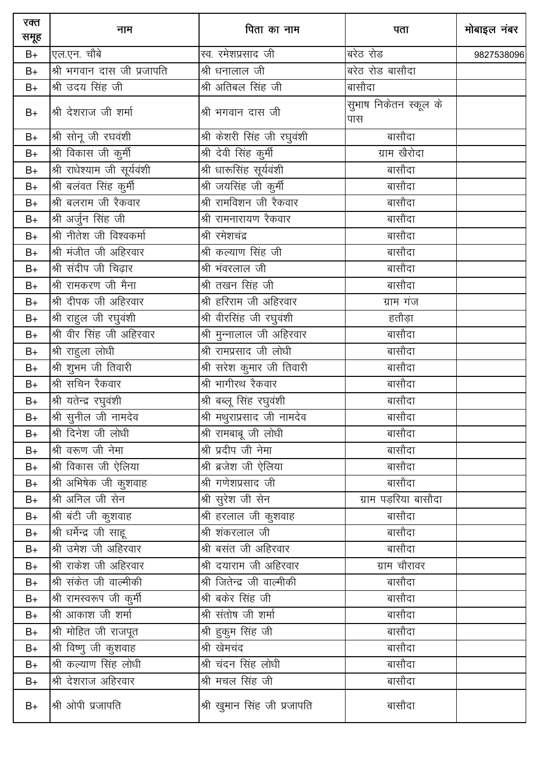| रक्त<br>समूह | नाम                         | पिता का नाम                 | पता                          | मोबाइल नंबर |
|--------------|-----------------------------|-----------------------------|------------------------------|-------------|
| $B+$         | एल.एन. चौबे                 | स्व. रमेशप्रसाद जी          | बरेठ रोड                     | 9827538096  |
| $B+$         | श्री भगवान दास जी प्रजापति  | श्री धनालाल जी              | बरेठ रोड बासौदा              |             |
| $B+$         | श्री उदय सिंह जी            | श्री अतिबल सिंह जी          | बासौदा                       |             |
| $B+$         | श्री देशराज जी शर्मा        | श्री भगवान दास जी           | सुभाष निकेतन स्कूल के<br>पास |             |
| $B+$         | श्री सोनू जी रघवंशी         | श्री केशरी सिंह जी रघुवंशी  | बासौदा                       |             |
| $B+$         | श्री विकास जी कुर्मी        | श्री देवी सिंह कुर्मी       | ग्राम खैरोदा                 |             |
| $B+$         | श्री राधेश्याम जी सूर्यवंशी | श्री धारूसिंह सूर्यवंशी     | बासौदा                       |             |
| $B+$         | श्री बलंवत सिंह कुर्मी      | श्री जयसिंह जी कुर्मी       | बासौदा                       |             |
| $B+$         | श्री बलराम जी रैकवार        | श्री रामविशन जी रैकवार      | बासौदा                       |             |
| $B+$         | श्री अर्जुन सिंह जी         | श्री रामनारायण रैकवार       | बासौदा                       |             |
| $B+$         | श्री नीतेश जी विश्वकर्मा    | श्री रमेशचंद्र              | बासौदा                       |             |
| $B+$         | श्री मंजीत जी अहिरवार       | श्री कल्याण सिंह जी         | बासौदा                       |             |
| $B+$         | श्री संदीप जी चिढ़ार        | श्री भंवरलाल जी             | बासौदा                       |             |
| $B+$         | श्री रामकरण जी मैना         | श्री तखन सिंह जी            | बासौदा                       |             |
| $B+$         | श्री दीपक जी अहिरवार        | श्री हरिराम जी अहिरवार      | ग्राम गंज                    |             |
| B+           | श्री राहुल जी रघुवंशी       | श्री वीरसिंह जी रघुवंशी     | हतौड़ा                       |             |
| $B+$         | श्री वीर सिंह जी अहिरवार    | श्री मुन्नालाल जी अहिरवार   | बासौदा                       |             |
| $B+$         | श्री राहुला लोधी            | श्री रामप्रसाद जी लोधी      | बासौदा                       |             |
| $B+$         | श्री शुभम जी तिवारी         | श्री सरेश कुमार जी तिवारी   | बासौदा                       |             |
| $B+$         | श्री सचिन रैकवार            | श्री भागीरथ रैकवार          | बासौदा                       |             |
| $B+$         | श्री यतेन्द्र रघुवंशी       | श्री बब्लू सिंह रघुवंशी     | बासौदा                       |             |
| $B+$         | श्री सुनील जी नामदेव        | श्री मथुराप्रसाद जी नामदेव  | बासौदा                       |             |
| $B+$         | श्री दिनेश जी लोधी          | श्री रामबाबू जी लोधी        | बासौदा                       |             |
| $B+$         | श्री वरूण जी नेमा           | श्री प्रदीप जी नेमा         | बासौदा                       |             |
| $B+$         | श्री विकास जी ऐलिया         | श्री ब्रजेश जी ऐलिया        | बासौदा                       |             |
| $B+$         | श्री अभिषेक जी कुशवाह       | श्री गणेशप्रसाद जी          | बासौदा                       |             |
| $B+$         | श्री अनिल जी सेन            | <u>श्री सु</u> रेश जी सेन   | ग्राम पड़रिया बासौदा         |             |
| $B+$         | श्री बंटी जी कुशवाह         | श्री हरलाल जी कुशवाह        | बासौदा                       |             |
| $B+$         | श्री धर्मेन्द्र जी साहू     | श्री शंकरलाल जी             | बासौदा                       |             |
| $B+$         | श्री उमेश जी अहिरवार        | श्री बसंत जी अहिरवार        | बासौदा                       |             |
| $B+$         | श्री राकेश जी अहिरवार       | श्री दयाराम जी अहिरवार      | ग्राम चौरावर                 |             |
| $B+$         | श्री संकेत जी वाल्मीकी      | श्री जितेन्द्र जी वाल्मीकी  | बासौदा                       |             |
| $B+$         | श्री रामस्वरूप जी कुर्मी    | श्री बकेर सिंह जी           | बासौदा                       |             |
| $B+$         | श्री आकाश जी शर्मा          | श्री संतोष जी शर्मा         | बासौदा                       |             |
| $B+$         | श्री मोहित जी राजपूत        | श्री हुकुम सिंह जी          | बासौदा                       |             |
| $B+$         | श्री विष्णु जी कुशवाह       | श्री खेमचंद                 | बासौदा                       |             |
| $B+$         | श्री कल्याण सिंह लोधी       | श्री चंदन सिंह लोधी         | बासौदा                       |             |
| $B+$         | श्री देशराज अहिरवार         | श्री मचल सिंह जी            | बासौदा                       |             |
| $B+$         | श्री ओपी प्रजापति           | श्री खुमान सिंह जी प्रजापति | बासौदा                       |             |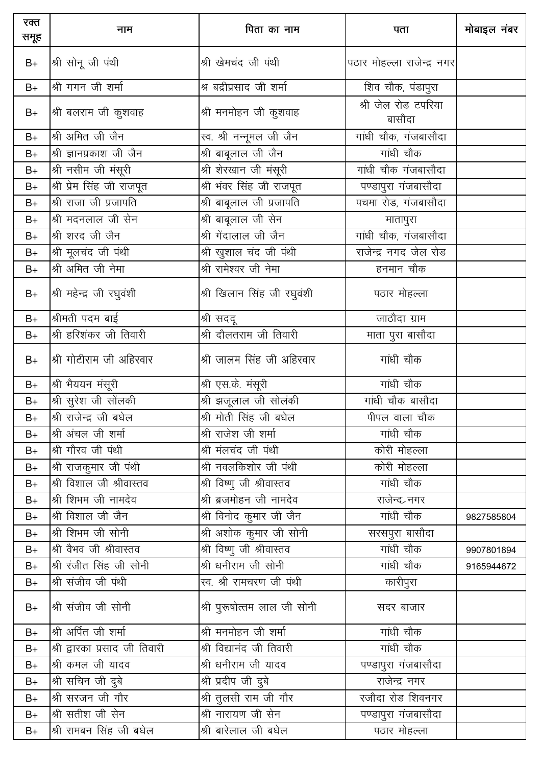| रक्त<br>समूह | नाम                           | पिता का नाम                 | पता                           | मोबाइल नंबर |
|--------------|-------------------------------|-----------------------------|-------------------------------|-------------|
| $B+$         | श्री सोनू जी पंथी             | श्री खेमचंद जी पंथी         | पठार मोहल्ला राजेन्द्र नगर    |             |
| $B+$         | श्री गगन जी शर्मा             | श्र बद्रीप्रसाद जी शर्मा    | शिव चौक, पंडापुरा             |             |
| $B+$         | श्री बलराम जी कुशवाह          | श्री मनमोहन जी कुशवाह       | श्री जेल रोड टपरिया<br>बासौदा |             |
| $B+$         | श्री अमित जी जैन              | स्व. श्री नन्नूमल जी जैन    | गांधी चौक, गंजबासौदा          |             |
| $B+$         | श्री ज्ञानप्रकाश जी जैन       | श्री बाबूलाल जी जैन         | गांधी चौक                     |             |
| $B+$         | श्री नसीम जी मंसूरी           | श्री शेरखान जी मंसूरी       | गांधी चौक गंजबासौदा           |             |
| $B+$         | श्री प्रेम सिंह जी राजपूत     | श्री भंवर सिंह जी राजपूत    | पण्डापुरा गंजबासौदा           |             |
| $B+$         | श्री राजा जी प्रजापति         | श्री बाबूलाल जी प्रजापति    | पचमा रोड, गंजबासौदा           |             |
| $B+$         | श्री मदनलाल जी सेन            | श्री बाबूलाल जी सेन         | मातापुरा                      |             |
| $B+$         | श्री शरद जी जैन               | श्री गेंदालाल जी जैन        | गांधी चौक, गंजबासौदा          |             |
| $B+$         | श्री मूलचंद जी पंथी           | श्री खुशाल चंद जी पंथी      | राजेन्द्र नगद जेल रोड         |             |
| $B+$         | श्री अमित जी नेमा             | श्री रामेश्वर जी नेमा       | हनमान चौक                     |             |
| $B+$         | श्री महेन्द्र जी रघुवंशी      | श्री खिलान सिंह जी रघुवंशी  | पठार मोहल्ला                  |             |
| $B+$         | श्रीमती पदम बाई               | श्री सददू                   | —<br>जाठौदा ग्राम             |             |
| $B+$         | श्री हरिशंकर जी तिवारी        | श्री दौलतराम जी तिवारी      | माता पुरा बासौदा              |             |
| $B+$         | श्री गोटीराम जी अहिरवार       | श्री जालम सिंह जी अहिरवार   | गांधी चौक                     |             |
| $B+$         | श्री भैययन मंसूरी             | श्री एस.के. मंसूरी          | गांधी चौक                     |             |
| $B+$         | श्री सुरेश जी सोंलकी          | श्री झजूलाल जी सोलंकी       | गांधी चौक बासौदा              |             |
| $B+$         | श्री राजेन्द्र जी बघेल        | श्री मोती सिंह जी बघेल      | पीपल वाला चौक                 |             |
| B+           | श्री अंचल जी शर्मा            | श्री राजेश जी शर्मा         | गांधी चौक                     |             |
| $B+$         | श्री गौरव जी पंथी             | श्री मंलचंद जी पंथी         | कोरी मोहल्ला                  |             |
| $B+$         | श्री राजकुमार जी पंथी         | श्री नवलकिशोर जी पंथी       | कोरी मोहल्ला                  |             |
| $B+$         | श्री विशाल जी श्रीवास्तव      | श्री विष्णु जी श्रीवास्तव   | गांधी चौक                     |             |
| $B+$         | श्री शिभम जी नामदेव           | श्री ब्रजमोहन जी नामदेव     | राजेन्द <sub>र</sub> नगर      |             |
| $B+$         | श्री विशाल जी जैन             | श्री विनोद कुमार जी जैन     | गांधी चौक                     | 9827585804  |
| $B+$         | श्री शिभम जी सोनी             | श्री अशोक कुमार जी सोनी     | सरसपुरा बासौदा                |             |
| $B+$         | श्री वैभव जी श्रीवास्तव       | श्री विष्णु जी श्रीवास्तव   | गांधी चौक                     | 9907801894  |
| $B+$         | श्री रंजीत सिंह जी सोनी       | श्री धनीराम जी सोनी         | गांधी चौक                     | 9165944672  |
| $B+$         | श्री संजीव जी पंथी            | स्व. श्री रामचरण जी पंथी    | कारीपुरा                      |             |
| $B+$         | श्री संजीव जी सोनी            | श्री पुरूषोत्तम लाल जी सोनी | सदर बाजार                     |             |
| $B+$         | श्री अर्पित जी शर्मा          | श्री मनमोहन जी शर्मा        | गांधी चौक                     |             |
| $B+$         | श्री द्वारका प्रसाद जी तिवारी | श्री विद्यानंद जी तिवारी    | गांधी चौक                     |             |
| $B+$         | श्री कमल जी यादव              | श्री धनीराम जी यादव         | पण्डापुरा गंजबासौदा           |             |
| $B+$         | श्री सचिन जी दुबे             | श्री प्रदीप जी दुबे         | राजेन्द्र नगर                 |             |
| $B+$         | श्री सरजन जी गौर              | श्री तुलसी राम जी गौर       |                               |             |
| $B+$         | श्री सतीश जी सेन              | श्री नारायण जी सेन          | पण्डापुरा गंजबासौदा           |             |
| $B+$         | श्री रामबन सिंह जी बघेल       | श्री बारेलाल जी बघेल        | पठार मोहल्ला                  |             |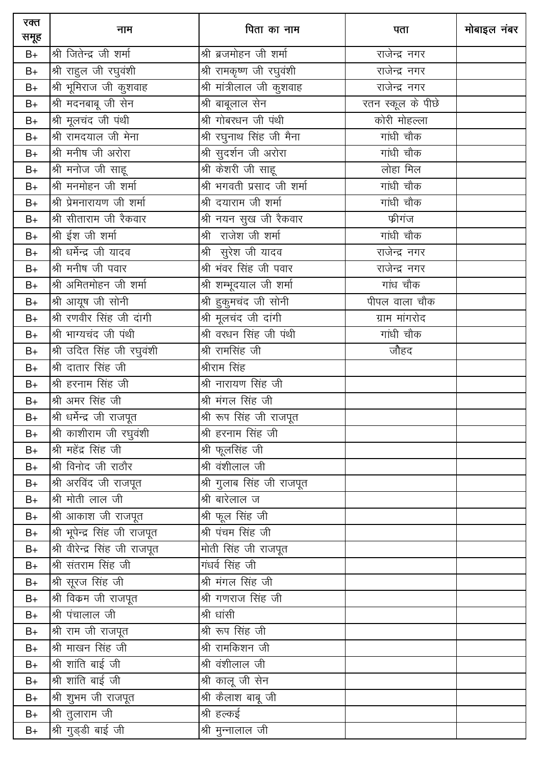| रक्त<br>समूह | नाम                           | पिता का नाम                | पता               | मोबाइल नंबर |
|--------------|-------------------------------|----------------------------|-------------------|-------------|
| $B+$         | श्री जितेन्द्र जी शर्मा       | श्री ब्रजमोहन जी शर्मा     | राजेन्द्र नगर     |             |
| $B+$         | श्री राहुल जी रघुवंशी         | श्री रामकृष्ण जी रघुवंशी   | राजेन्द्र नगर     |             |
| $B+$         | श्री भूमिराज जी कुशवाह        | श्री मांत्रीलाल जी कुशवाह  | राजेन्द्र नगर     |             |
| $B+$         | श्री मदनबाबू जी सेन           | श्री बाबूलाल सेन           | रतन स्कूल के पीछे |             |
| $B+$         | श्री मूलचंद जी पंथी           | श्री गोबरधन जी पंथी        | कोरी मोहल्ला      |             |
| $B+$         | श्री रामदयाल जी मेना          | श्री रघुनाथ सिंह जी मैना   | गांधी चौक         |             |
| $B+$         | श्री मनीष जी अरोरा            | श्री सुदर्शन जी अरोरा      | गांधी चौक         |             |
| $B+$         | श्री मनोज जी साहू             | श्री केशरी जी साहू         | लोहा मिल          |             |
| $B+$         | श्री मनमोहन जी शर्मा          | श्री भगवती प्रसाद जी शर्मा | गांधी चौक         |             |
| $B+$         | श्री प्रेमनारायण जी शर्मा     | श्री दयाराम जी शर्मा       | गांधी चौक         |             |
| $B+$         | श्री सीताराम जी रैकवार        | श्री नयन सुख जी रैकवार     | फ्रीगंज           |             |
| $B+$         | श्री ईश जी शर्मा              | श्री राजेश जी शर्मा        | गांधी चौक         |             |
| $B+$         | श्री धर्मेन्द्र जी यादव       | श्री सुरेश जी यादव         | राजेन्द्र नगर     |             |
| $B+$         | श्री मनीष जी पवार             | श्री भंवर सिंह जी पवार     | राजेन्द्र नगर     |             |
| $B+$         | श्री अमितमोहन जी शर्मा        | श्री शम्भूदयाल जी शर्मा    | गांध चौक          |             |
| $B+$         | श्री आयूष जी सोनी             | श्री हुकुमचंद जी सोनी      | पीपल वाला चौक     |             |
| $B+$         | श्री रणवीर सिंह जी दांगी      | श्री मूलचंद जी दांगी       | ग्राम मांगरोद     |             |
| $B+$         | श्री भाग्यचंद जी पंथी         | श्री वरधन सिंह जी पंथी     | गांधी चौक         |             |
| $B+$         | श्री उदित सिंह जी रघुवंशी     | श्री रामसिंह जी            | जौहद              |             |
| $B+$         | श्री दातार सिंह जी            | श्रीराम सिंह               |                   |             |
| $B+$         | श्री हरनाम सिंह जी            | श्री नारायण सिंह जी        |                   |             |
| $B+$         | श्री अमर सिंह जी              | श्री मंगल सिंह जी          |                   |             |
| $B+$         | श्री धर्मेन्द्र जी राजपूत     | श्री रूप सिंह जी राजपूत    |                   |             |
| $B+$         | श्री काशीराम जी रघुवंशी       | श्री हरनाम सिंह जी         |                   |             |
| $B+$         | श्री महेंद्र सिंह जी          | श्री फूलसिंह जी            |                   |             |
| $B+$         | श्री विनोद जी राठौर           | श्री वंशीलाल जी            |                   |             |
| $B+$         | श्री अरविंद जी राजपूत         | श्री गुलाब सिंह जी राजपूत  |                   |             |
| $B+$         | श्री मोती लाल जी              | श्री बारेलाल ज             |                   |             |
| $B+$         | श्री आकाश जी राजपूत           | श्री फूल सिंह जी           |                   |             |
| $B+$         | श्री भूपेन्द्र सिंह जी राजपूत | श्री पंचम सिंह जी          |                   |             |
| $B+$         | श्री वीरेन्द्र सिंह जी राजपूत | मोती सिंह जी राजपूत        |                   |             |
| $B+$         | श्री संतराम सिंह जी           | गंधर्व सिंह जी             |                   |             |
| $B+$         | श्री सूरज सिंह जी             | श्री मंगल सिंह जी          |                   |             |
| $B+$         | श्री विक्रम जी राजपूत         | श्री गणराज सिंह जी         |                   |             |
| $B+$         | श्री पंचालाल जी               | श्री धांसी                 |                   |             |
| $B+$         | श्री राम जी राजपूत            | श्री रूप सिंह जी           |                   |             |
| $B+$         | श्री माखन सिंह जी             | श्री रामकिशन जी            |                   |             |
| $B+$         | श्री शांति बाई जी             | श्री वंशीलाल जी            |                   |             |
| $B+$         | श्री शांति बाई जी             | श्री कालू जी सेन           |                   |             |
| $B+$         | श्री शुभम जी राजपूत           | श्री कैलाश बाबू जी         |                   |             |
| $B+$         | श्री तुलाराम जी               | श्री हल्कई                 |                   |             |
| $B+$         | श्री गुड्डी बाई जी            | श्री मुन्नालाल जी          |                   |             |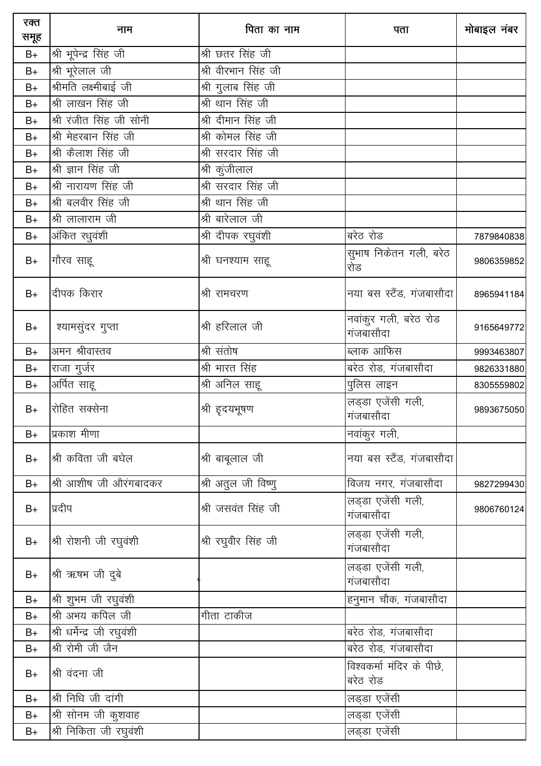| रक्त<br>समूह | नाम                        | पिता का नाम         | पता                                   | मोबाइल नंबर |
|--------------|----------------------------|---------------------|---------------------------------------|-------------|
| $B+$         | श्री भूपेन्द्र सिंह जी     | श्री छतर सिंह जी    |                                       |             |
| $B+$         | श्री भूरेलाल जी            | श्री वीरभान सिंह जी |                                       |             |
| $B+$         | श्रीमति लक्ष्मीबाई जी      | श्री गुलाब सिंह जी  |                                       |             |
| $B+$         | श्री लाखन सिंह जी          | श्री थान सिंह जी    |                                       |             |
| $B+$         | श्री रंजीत सिंह जी सोनी    | श्री दीमान सिंह जी  |                                       |             |
| $B+$         | श्री मेहरबान सिंह जी       | श्री कोमल सिंह जी   |                                       |             |
| $B+$         | श्री कैलाश सिंह जी         | श्री सरदार सिंह जी  |                                       |             |
| $B+$         | श्री ज्ञान सिंह जी         | श्री कुंजीलाल       |                                       |             |
| $B+$         | श्री नारायण सिंह जी        | श्री सरदार सिंह जी  |                                       |             |
| $B+$         | श्री बलवीर सिंह जी         | श्री थान सिंह जी    |                                       |             |
| $B+$         | श्री लालाराम जी            | श्री बारेलाल जी     |                                       |             |
| $B+$         | अंकित रधुवंशी              | श्री दीपक रघुवंशी   | बरेठ रोड                              | 7879840838  |
| $B+$         | गौरव साहू                  | श्री घनश्याम साहू   | सूभाष निकेतन गली, बरेठ<br>रोड         | 9806359852  |
| $B+$         | दीपक किरार                 | श्री रामचरण         | नया बस स्टैंड, गंजबासौदा              | 8965941184  |
| $B+$         | श्यामसुंदर गुप्ता          | श्री हरिलाल जी      | नवांकुर गली, बरेठ रोड<br>गंजबासौदा    | 9165649772  |
| $B+$         | अमन श्रीवास्तव             | श्री संतोष          | ब्लाक आफिस                            | 9993463807  |
| $B+$         | राजा गुर्जर                | श्री भारत सिंह      | बरेठ रोड, गंजबासौदा                   | 9826331880  |
| $B+$         | अर्पित साहू                | श्री अनिल साहू      | पुलिस लाइन                            | 8305559802  |
| $B+$         | रोहित सक्सेना              | श्री हृदयभूषण       | लड्डा एजेंसी गली,<br>गंजबासौदा        | 9893675050  |
| $B+$         | प्रकाश मीणा                |                     | नवांकुर गली,                          |             |
| $B+$         | श्री कविता जी बघेल         | श्री बाबूलाल जी     | नया बस स्टैंड, गंजबासौदा              |             |
| $B+$         | श्री आशीष जी औरंगबादकर     | श्री अतुल जी विष्णु | विजय नगर, गंजबासौदा                   | 9827299430  |
| $B+$         | प्रदीप                     | श्री जसवंत सिंह जी  | लड़डा एजेंसी गली,<br>गंजबासौदा        | 9806760124  |
| $B+$         | श्री रोशनी जी रघुवंशी      | श्री रघुवीर सिंह जी | लड़डा एजेंसी गली,<br>गंजबासौदा        |             |
| $B+$         | श्री ऋषभ जी दुबे           |                     | लड्डा एजेंसी गली,<br>गंजबासौदा        |             |
| $B+$         | श्री शुभम जी रघुवंशी       |                     | हनुमान चौक, गंजबासौदा                 |             |
| $B+$         | श्री अभय कपिल जी           | गीता टाकीज          |                                       |             |
| $B+$         | श्री धर्मेन्द्र जी रघुवंशी |                     | बरेठ रोड, गंजबासौदा                   |             |
| $B+$         | श्री रोमी जी जैन           |                     | बरेठ रोड, गंजबासौदा                   |             |
| $B+$         | श्री वंदना जी              |                     | विश्वकर्मा मंदिर के पीछे,<br>बरेठ रोड |             |
| $B+$         | श्री निधि जी दांगी         |                     | लड्डा एजेंसी                          |             |
| $B+$         | श्री सोनम जी कुशवाह        |                     | लड्डा एजेंसी                          |             |
| $B+$         | श्री निकिता जी रघुवंशी     |                     | लड्डा एजेंसी                          |             |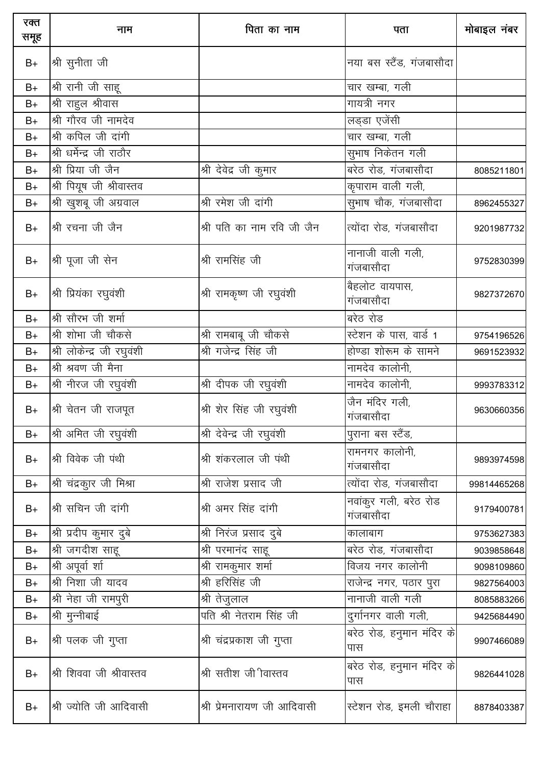| रक्त<br>समूह | नाम                       | पिता का नाम                 | पता                                | मोबाइल नंबर |
|--------------|---------------------------|-----------------------------|------------------------------------|-------------|
| $B+$         | श्री सुनीता जी            |                             | नया बस स्टैंड, गंजबासौदा           |             |
| $B+$         | श्री रानी जी साहू         |                             | चार खम्बा, गली                     |             |
| $B+$         | श्री राहुल श्रीवास        |                             | गायत्री नगर                        |             |
| $B+$         | श्री गौरव जी नामदेव       |                             | लड्डा एजेंसी                       |             |
| $B+$         | श्री कपिल जी दांगी        |                             | चार खम्बा, गली                     |             |
| $B+$         | श्री धर्मेन्द्र जी राठौर  |                             | सुभाष निकेतन गली                   |             |
| $B+$         | श्री प्रिया जी जैन        | श्री देवेद्र जी कुमार       | बरेठ रोड, गंजबासौदा                | 8085211801  |
| $B+$         | श्री पियूष जी श्रीवास्तव  |                             | कृपाराम वाली गली,                  |             |
| $B+$         | श्री खुशबू जी अग्रवाल     | श्री रमेश जी दांगी          | सुभाष चौक, गंजबासौदा               | 8962455327  |
| $B+$         | श्री रचना जी जैन          | श्री पति का नाम रवि जी जैन  | त्योंदा रोड, गंजबासौदा             | 9201987732  |
| $B+$         | श्री पूजा जी सेन          | श्री रामसिंह जी             | नानाजी वाली गली,<br>गंजबासौदा      | 9752830399  |
| $B+$         | श्री प्रियंका रघुवंशी     | श्री रामकृष्ण जी रघुवंशी    | बैहलोट वायपास,<br>गंजबासौदा        | 9827372670  |
| $B+$         | श्री सौरभ जी शर्मा        |                             | बरेठ रोड                           |             |
| $B+$         | श्री शोभा जी चौकसे        | श्री रामबाबू जी चौकसे       | स्टेशन के पास, वार्ड 1             | 9754196526  |
| $B+$         | श्री लोकेन्द्र जी रघुवंशी | श्री गजेन्द्र सिंह जी       | होण्डा शोरूम के सामने              | 9691523932  |
| $B+$         | श्री श्रवण जी मैना        |                             | नामदेव कालोनी,                     |             |
| $B+$         | श्री नीरज जी रघुवंशी      | श्री दीपक जी रघुवंशी        | नामदेव कालोनी,                     | 9993783312  |
| $B+$         | श्री चेतन जी राजपूत       | श्री शेर सिंह जी रघुवंशी    | जैन मंदिर गली,<br>गंजबासौदा        | 9630660356  |
| $B+$         | श्री अमित जी रघुवंशी      | श्री देवेन्द्र जी रघुवंशी   | पुराना बस स्टैंड,                  |             |
| $B+$         | श्री विवेक जी पंथी        | श्री शंकरलाल जी पंथी        | रामनगर कालोनी,<br>गंजबासौदा        | 9893974598  |
| $B+$         | श्री चंद्रकुार जी मिश्रा  | श्री राजेश प्रसाद जी        | त्योंदा रोड, गंजबासौदा             | 99814465268 |
| $B+$         | श्री सचिन जी दांगी        | श्री अमर सिंह दांगी         | नवांकुर गली, बरेठ रोड<br>गंजबासौदा | 9179400781  |
| $B+$         | श्री प्रदीप कुमार दुबे    | श्री निरंज प्रसाद दुबे      | कालाबाग                            | 9753627383  |
| $B+$         | श्री जगदीश साहू           | श्री परमानंद साहू           | बरेठ रोड, गंजबासौदा                | 9039858648  |
| $B+$         | श्री अपूर्वा शा           | श्री रामकुमार शर्मा         | विजय नगर कालोनी                    | 9098109860  |
| $B+$         | श्री निशा जी यादव         | श्री हरिसिंह जी             | राजेन्द्र नगर, पठार पुरा           | 9827564003  |
| $B+$         | श्री नेहा जी रामपुरी      | <u>श्री तेजु</u> लाल        |                                    | 8085883266  |
| $B+$         | श्री मुन्नीबाई            | पति श्री नेतराम सिंह जी     | दुर्गानगर वाली गली,                | 9425684490  |
| $B+$         | श्री पलक जी गुप्ता        | श्री चंद्रप्रकाश जी गुप्ता  | बरेठ रोड, हनुमान मंदिर के<br>पास   | 9907466089  |
| $B+$         | श्री शिववा जी श्रीवास्तव  | श्री सतीश जी वास्तव         | बरेठ रोड, हनुमान मंदिर के<br>पास   | 9826441028  |
| $B+$         | श्री ज्योति जी आदिवासी    | श्री प्रेमनारायण जी आदिवासी | स्टेशन रोड, इमली चौराहा            | 8878403387  |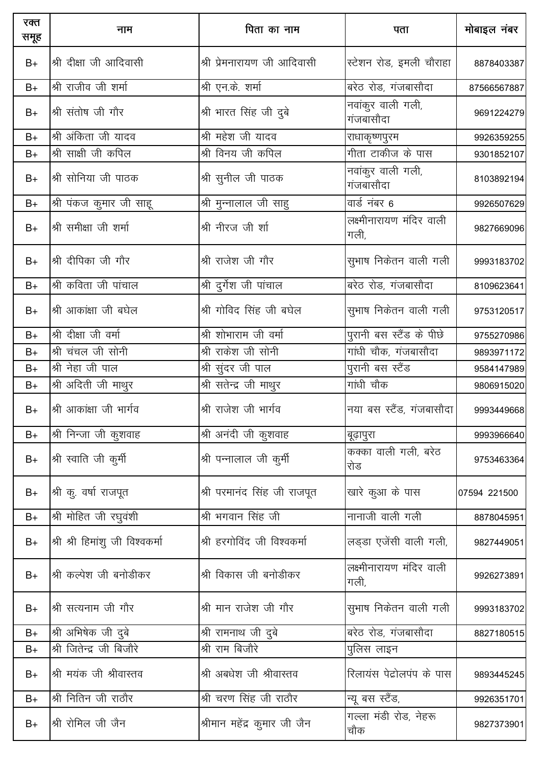| रक्त<br>समूह | नाम                             | पिता का नाम                  | पता                              | मोबाइल नंबर  |
|--------------|---------------------------------|------------------------------|----------------------------------|--------------|
| $B+$         | श्री दीक्षा जी आदिवासी          | श्री प्रेमनारायण जी आदिवासी  | स्टेशन रोड, इमली चौराहा          | 8878403387   |
| $B+$         | श्री राजीव जी शर्मा             | श्री एन.के. शर्मा            | बरेठ रोड, गंजबासौदा              | 87566567887  |
| $B+$         | श्री संतोष जी गौर               | श्री भारत सिंह जी दुबे       | नवांकुर वाली गली,<br>गंजबासौदा   | 9691224279   |
| $B+$         | श्री अंकिता जी यादव             | श्री महेश जी यादव            | राधाकृष्णपुरम                    | 9926359255   |
| $B+$         | श्री साक्षी जी कपिल             | श्री विनय जी कपिल            | गीता टाकीज के पास                | 9301852107   |
| $B+$         | श्री सोनिया जी पाठक             | श्री सुनील जी पाठक           | नवांकुर वाली गली,<br>गंजबासौदा   | 8103892194   |
| $B+$         | श्री पंकज कुमार जी साहू         | श्री मुन्नालाल जी साहु       | वार्ड नंबर 6                     | 9926507629   |
| $B+$         | श्री समीक्षा जी शर्मा           | श्री नीरज जी र्शा            | लक्ष्मीनारायण मंदिर वाली<br>गली, | 9827669096   |
| $B+$         | श्री दीपिका जी गौर              | श्री राजेश जी गौर            | सुभाष निकेतन वाली गली            | 9993183702   |
| $B+$         | श्री कविता जी पांचाल            | श्री दुर्गेश जी पांचाल       | बरेठ रोड, गंजबासौदा              | 8109623641   |
| $B+$         | श्री आकांक्षा जी बघेल           | श्री गोविद सिंह जी बघेल      | सुभाष निकेतन वाली गली            | 9753120517   |
| $B+$         | श्री दीक्षा जी वर्मा            | श्री शोभाराम जी वर्मा        | पुरानी बस स्टैंड के पीछे         | 9755270986   |
| $B+$         | श्री चंचल जी सोनी               | श्री राकेश जी सोनी           | गांधी चौक, गंजबासौदा             | 9893971172   |
| $B+$         | श्री नेहा जी पाल                | श्री सुंदर जी पाल            | पुरानी बस स्टैंड                 | 9584147989   |
| $B+$         | श्री अदिती जी माथुर             | श्री सतेन्द्र जी माथुर       | गांधी चौक                        | 9806915020   |
| $B+$         | श्री आकांक्षा जी भार्गव         | श्री राजेश जी भार्गव         | नया बस स्टैंड, गंजबासौदा         | 9993449668   |
| $B+$         | श्री निन्जा जी कुशवाह           | श्री अनंदी जी कूशवाह         | बूढ़ापुरा                        | 9993966640   |
| $B+$         | श्री स्वाति जी कुर्मी           | श्री पन्नालाल जी कुर्मी      | कक्का वाली गली, बरेठ<br>रोड      | 9753463364   |
| $B+$         | श्री कु. वर्षा राजपूत           | श्री परमानंद सिंह जी राजपूत  | खारे कुआ के पास                  | 07594 221500 |
| $B+$         | श्री मोहित जी रघुवंशी           | श्री भगवान सिंह जी           | नानाजी वाली गली                  | 8878045951   |
| $B+$         | श्री श्री हिमांशु जी विश्वकर्मा | श्री हरगोविंद जी विश्वकर्मा  | लड़डा एजेंसी वाली गली,           | 9827449051   |
| $B+$         | श्री कल्पेश जी बनोडीकर          | श्री विकास जी बनोडीकर        | लक्ष्मीनारायण मंदिर वाली<br>गली, | 9926273891   |
| $B+$         | श्री सत्यनाम जी गौर             | श्री मान राजेश जी गौर        | सुभाष निकेतन वाली गली            | 9993183702   |
| $B+$         | श्री अभिषेक जी दुबे             | श्री रामनाथ जी दुबे          | बरेठ रोड, गंजबासौदा              | 8827180515   |
| $B+$         | श्री जितेन्द्र जी बिजौरे        | श्री राम बिजौरे              | पुलिस लाइन                       |              |
| $B+$         | श्री मयंक जी श्रीवास्तव         | श्री अबधेश जी श्रीवास्तव     | रिलायंस पेद्रोलपंप के पास        | 9893445245   |
| $B+$         | श्री नितिन जी राठौर             | श्री चरण सिंह जी राठौर       | न्यू बस स्टैंड,                  | 9926351701   |
| $B+$         | श्री रोमिल जी जैन               | श्रीमान महेंद्र कुमार जी जैन | गल्ला मंडी रोड, नेहरू<br>चौक     | 9827373901   |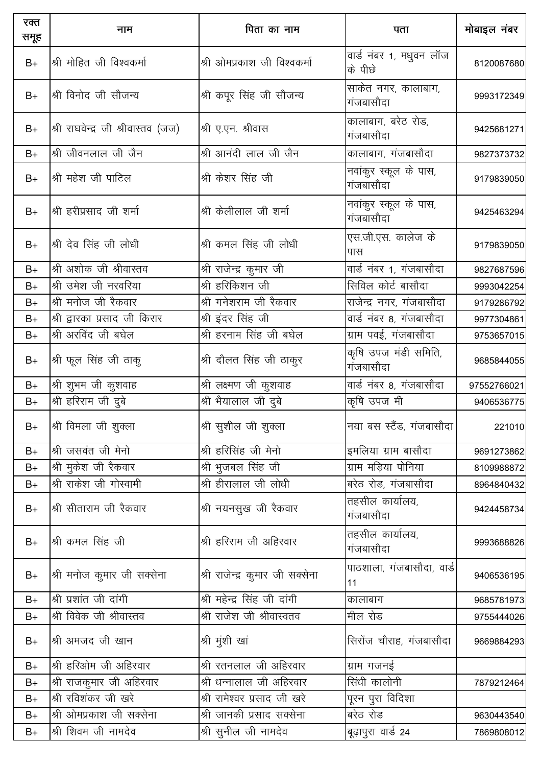| रक्त<br>समूह | नाम                                | पिता का नाम                     | पता                                | मोबाइल नंबर |
|--------------|------------------------------------|---------------------------------|------------------------------------|-------------|
| $B+$         | श्री मोहित जी विश्वकर्मा           | श्री ओमप्रकाश जी विश्वकर्मा     | वार्ड नंबर 1, मधुवन लॉज<br>के पीछे | 8120087680  |
| $B+$         | श्री विनोद जी सौजन्य               | श्री कपूर सिंह जी सौजन्य        | साकेत नगर, कालाबाग,<br>गंजबासौदा   | 9993172349  |
| $B+$         | श्री राघवेन्द्र जी श्रीवास्तव (जज) | श्री ए.एन. श्रीवास              | कालाबाग, बरेठ रोड,<br>गंजबासौदा    | 9425681271  |
| $B+$         | श्री जीवनलाल जी जैन                | श्री आनंदी लाल जी जैन           | कालाबाग, गंजबासौदा                 | 9827373732  |
| $B+$         | श्री महेश जी पाटिल                 | श्री केशर सिंह जी               | नवांकुर स्कूल के पास,<br>गंजबासौदा | 9179839050  |
| $B+$         | श्री हरीप्रसाद जी शर्मा            | श्री केलीलाल जी शर्मा           | नवांकूर स्कूल के पास,<br>गंजबासौदा | 9425463294  |
| $B+$         | श्री देव सिंह जी लोधी              | श्री कमल सिंह जी लोधी           | एस.जी.एस. कालेज के<br>पास          | 9179839050  |
| $B+$         | श्री अशोक जी श्रीवास्तव            | श्री राजेन्द्र कुमार जी         | वार्ड नंबर 1, गंजबासौदा            | 9827687596  |
| $B+$         | श्री उमेश जी नरवरिया               | श्री हरिकिशन जी                 | सिविल कोर्ट बासौदा                 | 9993042254  |
| $B+$         | श्री मनोज जी रैकवार                | श्री गनेशराम जी रैकवार          | राजेन्द्र नगर, गंजबासौदा           | 9179286792  |
| $B+$         | श्री द्वारका प्रसाद जी किरार       | श्री इंदर सिंह जी               | वार्ड नंबर 8, गंजबासौदा            | 9977304861  |
| $B+$         | श्री अरविंद जी बघेल                | श्री हरनाम सिंह जी बघेल         | ग्राम पवई, गंजबासौदा               | 9753657015  |
| $B+$         | श्री फूल सिंह जी ठाकु              | श्री दौलत सिंह जी ठाकुर         | कृषि उपज मंडी समिति,<br>गंजबासौदा  | 9685844055  |
| $B+$         | श्री शुभम जी कुशवाह                | श्री लक्ष्मण जी कुशवाह          | वार्ड नंबर 8, गंजबासौदा            | 97552766021 |
| $B+$         | <u>श्री हरिराम जी दुबे</u>         | श्री भैयालाल जी दुबे            | कृषि उपज मी                        | 9406536775  |
| $B+$         | श्री विमला जी शुक्ला               | श्री सुशील जी शुक्ला            | नया बस स्टैंड, गंजबासौदा           | 221010      |
| $B+$         | श्री जसवंत जी मेनो                 | श्री हरिसिंह जी मेनो            | इमलिया ग्राम बासौदा                | 9691273862  |
| $B+$         | श्री मुकेश जी रैकवार               | श्री भुजबल सिंह जी              | ग्राम मडिया पोनिया                 | 8109988872  |
| $B+$         | श्री राकेश जी गोस्वामी             | श्री हीरालाल जी लोधी            | बरेठ रोड, गंजबासौदा                | 8964840432  |
| $B+$         | श्री सीताराम जी रैकवार             | श्री नयनसुख जी रैकवार           | तहसील कार्यालय,<br>गंजबासौदा       | 9424458734  |
| $B+$         | श्री कमल सिंह जी                   | श्री हरिराम जी अहिरवार          | तहसील कार्यालय,<br>गंजबासौदा       | 9993688826  |
| $B+$         | श्री मनोज कुमार जी सक्सेना         | श्री राजेन्द्र कुमार जी सक्सेना | पाठशाला, गंजबासौदा, वार्ड<br>11    | 9406536195  |
| $B+$         | श्री प्रशांत जी दांगी              | श्री महेन्द्र सिंह जी दांगी     | कालाबाग                            | 9685781973  |
| $B+$         | श्री विवेक जी श्रीवास्तव           | श्री राजेश जी श्रीवास्वतव       | मील रोड                            | 9755444026  |
| $B+$         | श्री अमजद जी खान                   | श्री मुंशी खां                  | सिरोंज चौराह, गंजबासौदा            | 9669884293  |
| $B+$         | श्री हरिओम जी अहिरवार              | श्री रतनलाल जी अहिरवार          | ग्राम गजनई                         |             |
| $B+$         | श्री राजकुमार जी अहिरवार           | श्री धन्नालाल जी अहिरवार        | सिंधी कालोनी                       | 7879212464  |
| $B+$         | श्री रविशंकर जी खरे                | श्री रामेश्वर प्रसाद जी खरे     | पूरन पुरा विदिशा                   |             |
| $B+$         | श्री ओमप्रकाश जी सक्सेना           | श्री जानकी प्रसाद सक्सेना       | बरेठ रोड                           | 9630443540  |
| $B+$         | श्री शिवम जी नामदेव                | श्री सुनील जी नामदेव            | बूढ़ापुरा वार्ड 24                 | 7869808012  |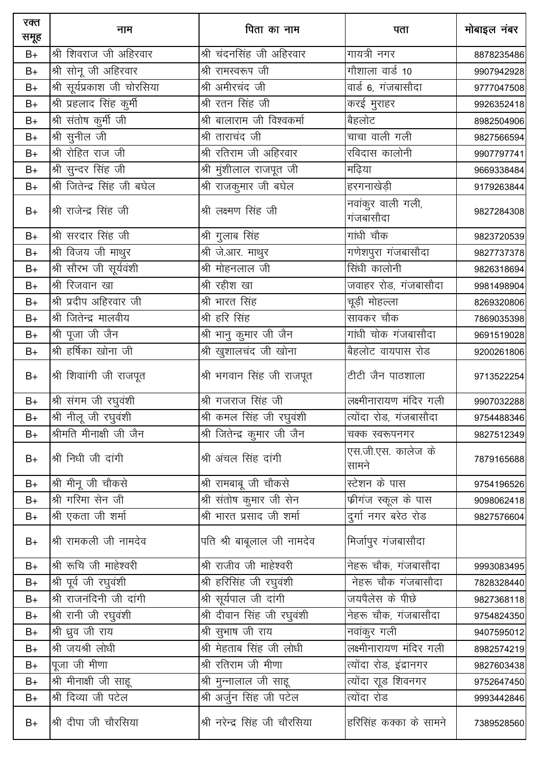| रक्त<br>समूह | नाम                            | पिता का नाम                   | पता                            | मोबाइल नंबर |
|--------------|--------------------------------|-------------------------------|--------------------------------|-------------|
| $B+$         | श्री शिवराज जी अहिरवार         | श्री चंदनसिंह जी अहिरवार      | गायत्री नगर                    | 8878235486  |
| $B+$         | श्री सोनू जी अहिरवार           | श्री रामस्वरूप जी             | गौशाला वार्ड 10                | 9907942928  |
| $B+$         | श्री सूर्यप्रकाश जी चोरसिया    | श्री अमीरचंद जी               | वार्ड 6, गंजबासौदा             | 9777047508  |
| $B+$         | श्री प्रहलाद सिंह कुर्मी       | श्री रतन सिंह जी              | करई मुराहर                     | 9926352418  |
| $B+$         | श्री संतोष कुर्मी जी           | श्री बालाराम जी विश्वकर्मा    | बैहलोट                         | 8982504906  |
| $B+$         | श्री सुनील जी                  | श्री ताराचंद जी               | चाचा वाली गली                  | 9827566594  |
| $B+$         | <u>श्री</u> रोहित राज जी       | श्री रतिराम जी अहिरवार        | रविदास कालोनी                  | 9907797741  |
| $B+$         | श्री सुन्दर सिंह जी            | श्री मुंशीलाल राजपूत जी       | मढिया                          | 9669338484  |
| $B+$         | श्री जितेन्द्र सिंह जी बघेल    | श्री राजकुमार जी बघेल         | हरगनाखेड़ी                     | 9179263844  |
| $B+$         | श्री राजेन्द्र सिंह जी         | श्री लक्ष्मण सिंह जी          | नवांकुर वाली गली,<br>गंजबासौदा | 9827284308  |
| $B+$         | श्री सरदार सिंह जी             | श्री गुलाब सिंह               | गांधी चौक                      | 9823720539  |
| $B+$         | श्री विजय जी माथुर             | <u>श्री जे.आर. माथु</u> र     | गणेशपुरा गंजबासौदा             | 9827737378  |
| $B+$         | श्री सौरभ जी सूर्यवंशी         | श्री मोहनलाल जी               | सिंधी कालोनी                   | 9826318694  |
| $B+$         | श्री रिजवान खा                 | श्री रहीश खा                  | जवाहर रोड, गंजबासौदा           | 9981498904  |
| $B+$         | श्री प्रदीप अहिरवार जी         | श्री भारत सिंह                | चूड़ी मोहल्ला                  | 8269320806  |
| $B+$         | श्री जितेन्द्र मालवीय          | श्री हरि सिंह                 | सावकर चौक                      | 7869035398  |
| $B+$         | श्री पूजा जी जैन               | श्री भानु कुमार जी जैन        | गांधी चोक गंजबासौदा            | 9691519028  |
| $B+$         | श्री हर्षिका खोना जी           | श्री खुशालचंद जी खोना         | बैहलोट वायपास रोड              | 9200261806  |
| $B+$         | श्री शिवाांगी जी राजपूत        | श्री भगवान सिंह जी राजपूत     | टीटी जैन पाठशाला               | 9713522254  |
| $B+$         | श्री संगम जी रघुवंशी           | श्री गजराज सिंह जी            | लक्ष्मीनारायण मंदिर गली        | 9907032288  |
| $B+$         | श्री नीलू जी रघुवंशी           | श्री कमल सिंह जी रघुवंशी      | त्योंदा रोड, गंजबासौदा         | 9754488346  |
| $B+$         | <u>श्रीमति मीनाक्षी जी जैन</u> | श्री जितेन्द्र कुमार जी जैन   | चक्क स्वरूपनगर                 | 9827512349  |
| $B+$         | श्री निधी जी दांगी             | श्री अंचल सिंह दांगी          | एस.जी.एस. कालेज के<br>सामने    | 7879165688  |
| $B+$         | श्री मीनू जी चौकसे             | श्री रामबाबू जी चौकसे         | स्टेशन के पास                  | 9754196526  |
| $B+$         | श्री गरिमा सेन जी              | श्री संतोष कुमार जी सेन       | फ्रीगंज स्कूल के पास           | 9098062418  |
| $B+$         | श्री एकता जी शर्मा             | श्री भारत प्रसाद जी शर्मा     | दुर्गा नगर बरेठ रोड            | 9827576604  |
| $B+$         | श्री रामकली जी नामदेव          | पति श्री बाबूलाल जी नामदेव    | मिर्जापुर गंजबासौदा            |             |
| $B+$         | श्री रूचि जी माहेश्वरी         | श्री राजीव जी माहेश्वरी       | नेहरू चौक, गंजबासौदा           | 9993083495  |
| $B+$         | श्री पूर्व जी रघुवंशी          | श्री हरिसिंह जी रघुवंशी       | नेहरू चौक गंजबासौदा            | 7828328440  |
| $B+$         | श्री राजनंदिनी जी दांगी        | श्री सूर्यपाल जी दांगी        | जयपैलेस के पीछे                | 9827368118  |
| $B+$         | श्री रानी जी रघुवंशी           | श्री दीवान सिंह जी रघुवंशी    | नेहरू चौक, गंजबासौदा           | 9754824350  |
| $B+$         | श्री ध्रुव जी राय              | श्री सुभाष जी राय             | नवांकुर गली                    | 9407595012  |
| $B+$         | श्री जयश्री लोधी               | श्री मेहताब सिंह जी लोधी      | लक्ष्मीनारायण मंदिर गली        | 8982574219  |
| $B+$         | पूजा जी मीणा                   | श्री रतिराम जी मीणा           | त्योंदा रोड, इंद्रानगर         | 9827603438  |
| $B+$         | श्री मीनाक्षी जी साहू          | श्री मुन्नालाल जी साहू        | त्योंदा राूड शिवनगर            | 9752647450  |
| $B+$         | श्री दिव्या जी पटेल            | श्री अर्जुन सिंह जी पटेल      | त्योंदा रोड                    | 9993442846  |
| $B+$         | श्री दीपा जी चौरसिया           | श्री नरेन्द्र सिंह जी चौरसिया | हरिसिंह कक्का के सामने         | 7389528560  |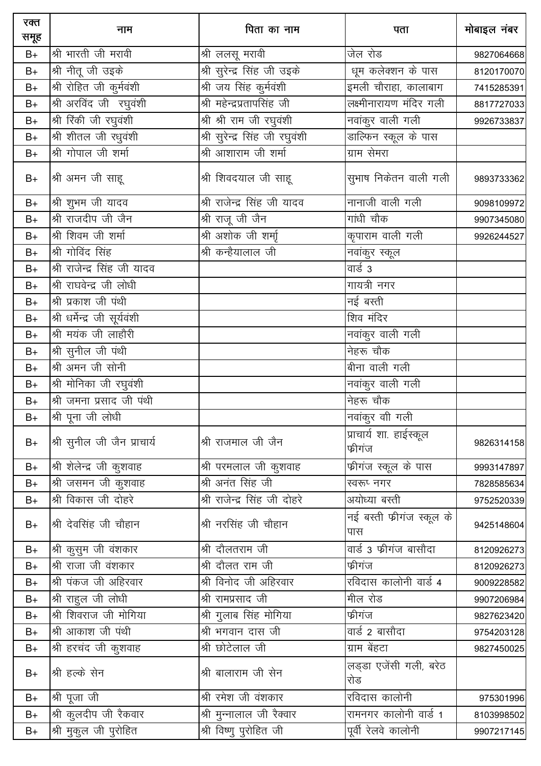| रक्त<br>समूह  | नाम                          | पिता का नाम                    | पता                               | मोबाइल नंबर |
|---------------|------------------------------|--------------------------------|-----------------------------------|-------------|
| $B+$          | श्री भारती जी मरावी          | श्री ललसू मरावी                | जेल रोड                           | 9827064668  |
| $B+$          | श्री नीतू जी उइके            | श्री सुरेन्द्र सिंह जी उइके    | धूम कलेक्शन के पास                | 8120170070  |
| $B+$          | श्री रोहित जी कुर्मवंशी      | श्री जय सिंह कुर्मवंशी         | इमली चौराहा, कालाबाग              | 7415285391  |
| $B+$          | श्री अरविंद जी रघुवंशी       | श्री महेन्द्रप्रतापसिंह जी     | लक्ष्मीनारायण मंदिर गली           | 8817727033  |
| $B+$          | श्री रिंकी जी रघुवंशी        | श्री श्री राम जी रघुवंशी       | नवांकुर वाली गली                  | 9926733837  |
| $\mathsf{B}+$ | श्री शीतल जी रधुवंशी         | श्री सुरेन्द्र सिंह जी रघुवंशी | डाल्फिन स्कूल के पास              |             |
| $B+$          | श्री गोपाल जी शर्मा          | श्री आशाराम जी शर्मा           | ग्राम सेमरा                       |             |
| $B+$          | श्री अमन जी साहू             | श्री शिवदयाल जी साहू           | सुभाष निकेतन वाली गली             | 9893733362  |
| $\mathsf{B}+$ | श्री शुभम जी यादव            | श्री राजेन्द्र सिंह जी यादव    | नानाजी वाली गली                   | 9098109972  |
| $B+$          | श्री राजदीप जी जैन           | श्री राजू जी जैन               | गांधी चौक                         | 9907345080  |
| $B+$          | श्री शिवम जी शर्मा           | श्री अशोक जी शर्मा             | कृपाराम वाली गली                  | 9926244527  |
| $B+$          | श्री गोविंद सिंह             | श्री कन्हैयालाल जी             | नवांकुर स्कूल                     |             |
| $B+$          | श्री राजेन्द्र सिंह जी यादव  |                                | वार्ड 3                           |             |
| $B+$          | श्री राघवेन्द्र जी लोधी      |                                | गायत्री नगर                       |             |
| $B+$          | श्री प्रकाश जी पंथी          |                                | नई बस्ती                          |             |
| $B+$          | श्री धर्मेन्द्र जी सूर्यवंशी |                                | शिव मंदिर                         |             |
| $B+$          | श्री मयंक जी लाहौरी          |                                | ____<br>नवांकुर वाली गली          |             |
| $B+$          | श्री सुनील जी पंथी           |                                | नेहरू चौक                         |             |
| $B+$          | श्री अमन जी सोनी             |                                | बीना वाली गली                     |             |
| $B+$          | श्री मोनिका जी रघुवंशी       |                                | ____<br>नवांकुर वाली गली          |             |
| $B+$          | श्री जमना प्रसाद जी पंथी     |                                | नेहरू चौक                         |             |
| $B+$          | श्री पूना जी लोधी            |                                | नवांकुर वी गली                    |             |
| $B+$          | श्री सुनील जी जैन प्राचार्य  | श्री राजमाल जी जैन             | प्राचार्य शा. हाईस्कूल<br>फ्रीगंज | 9826314158  |
| $B+$          | श्री शेलेन्द्र जी कुशवाह     | श्री परमलाल जी कुशवाह          | फीगंज स्कूल के पास                | 9993147897  |
| $B+$          | श्री जसमन जी कुशवाह          | श्री अनंत सिंह जी              | स्वरूप् नगर                       | 7828585634  |
| $B+$          | श्री विकास जी दोहरे          | श्री राजेन्द्र सिंह जी दोहरे   | अयोध्या बस्ती                     | 9752520339  |
| $B+$          | श्री देवसिंह जी चौहान        | श्री नरसिंह जी चौहान           | नई बस्ती फीगंज स्कूल के<br>पास    | 9425148604  |
| $B+$          | श्री कुसुम जी वंशकार         | श्री दौलतराम जी                | वार्ड 3 फ्रीगंज बासौदा            | 8120926273  |
| $B+$          | श्री राजा जी वंशकार          | श्री दौलत राम जी               | फ्रीगंज                           | 8120926273  |
| $B+$          | श्री पंकज जी अहिरवार         | श्री विनोद जी अहिरवार          | रविदास कालोनी वार्ड 4             | 9009228582  |
| $B+$          | श्री राहुल जी लोधी           | श्री रामप्रसाद जी              | मील रोड                           | 9907206984  |
| $B+$          | श्री शिवराज जी मोगिया        | श्री गुलाब सिंह मोगिया         | फ्रीगंज                           | 9827623420  |
| $B+$          | श्री आकाश जी पंथी            | श्री भगवान दास जी              | वार्ड 2 बासौदा                    | 9754203128  |
| $B+$          | श्री हरचंद जी कुशवाह         | श्री छोटेलाल जी                | ग्राम बेंहटा                      | 9827450025  |
| $B+$          | श्री हल्के सेन               | श्री बालाराम जी सेन            | लड्डा एजेंसी गली, बरेठ<br>रोड     |             |
| $B+$          | श्री पूजा जी                 | श्री रमेश जी वंशकार            | रविदास कालोनी                     | 975301996   |
| $B+$          | श्री कुलदीप जी रैकवार        | श्री मुन्नालाल जी रैक्वार      | रामनगर कालोनी वार्ड 1             | 8103998502  |
| $B+$          | श्री मुकुल जी पुरोहित        | श्री विष्णु पुरोहित जी         | पूर्वी रेलवे कालोनी               | 9907217145  |